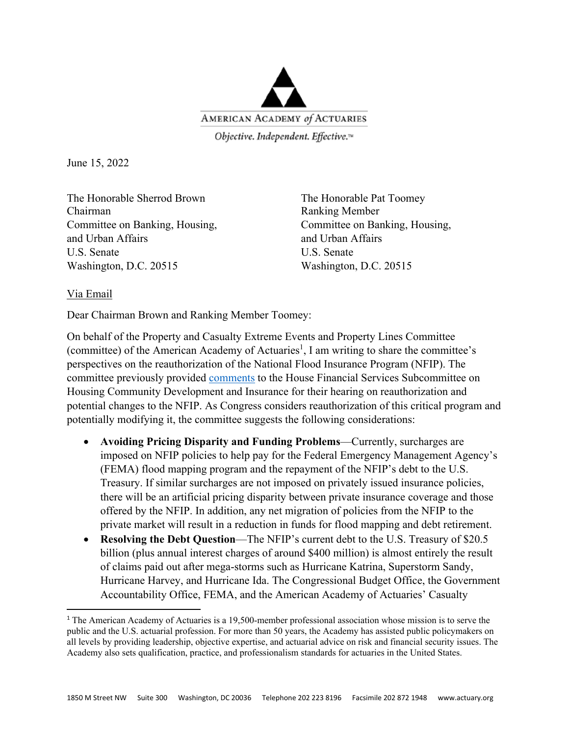

Objective. Independent. Effective.™

June 15, 2022

The Honorable Sherrod Brown The Honorable Pat Toomey Chairman Ranking Member Committee on Banking, Housing, Committee on Banking, Housing, and Urban Affairs and Urban Affairs U.S. Senate U.S. Senate Washington, D.C. 20515 Washington, D.C. 20515

## Via Email

Dear Chairman Brown and Ranking Member Toomey:

On behalf of the Property and Casualty Extreme Events and Property Lines Committee (committee) of the American Academy of Actuaries<sup>1</sup>, I am writing to share the committee's perspectives on the reauthorization of the National Flood Insurance Program (NFIP). The committee previously provided comments to the House Financial Services Subcommittee on Housing Community Development and Insurance for their hearing on reauthorization and potential changes to the NFIP. As Congress considers reauthorization of this critical program and potentially modifying it, the committee suggests the following considerations:

- **Avoiding Pricing Disparity and Funding Problems**—Currently, surcharges are imposed on NFIP policies to help pay for the Federal Emergency Management Agency's (FEMA) flood mapping program and the repayment of the NFIP's debt to the U.S. Treasury. If similar surcharges are not imposed on privately issued insurance policies, there will be an artificial pricing disparity between private insurance coverage and those offered by the NFIP. In addition, any net migration of policies from the NFIP to the private market will result in a reduction in funds for flood mapping and debt retirement.
- **Resolving the Debt Question**—The NFIP's current debt to the U.S. Treasury of \$20.5 billion (plus annual interest charges of around \$400 million) is almost entirely the result of claims paid out after mega-storms such as Hurricane Katrina, Superstorm Sandy, Hurricane Harvey, and Hurricane Ida. The Congressional Budget Office, the Government Accountability Office, FEMA, and the American Academy of Actuaries' Casualty

<sup>1</sup> The American Academy of Actuaries is a 19,500-member professional association whose mission is to serve the public and the U.S. actuarial profession. For more than 50 years, the Academy has assisted public policymakers on all levels by providing leadership, objective expertise, and actuarial advice on risk and financial security issues. The Academy also sets qualification, practice, and professionalism standards for actuaries in the United States.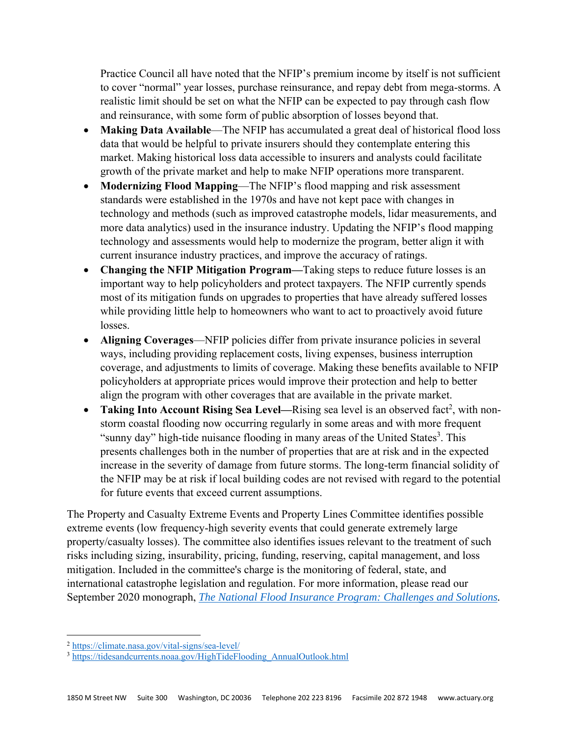Practice Council all have noted that the NFIP's premium income by itself is not sufficient to cover "normal" year losses, purchase reinsurance, and repay debt from mega-storms. A realistic limit should be set on what the NFIP can be expected to pay through cash flow and reinsurance, with some form of public absorption of losses beyond that.

- **Making Data Available**—The NFIP has accumulated a great deal of historical flood loss data that would be helpful to private insurers should they contemplate entering this market. Making historical loss data accessible to insurers and analysts could facilitate growth of the private market and help to make NFIP operations more transparent.
- **Modernizing Flood Mapping**—The NFIP's flood mapping and risk assessment standards were established in the 1970s and have not kept pace with changes in technology and methods (such as improved catastrophe models, lidar measurements, and more data analytics) used in the insurance industry. Updating the NFIP's flood mapping technology and assessments would help to modernize the program, better align it with current insurance industry practices, and improve the accuracy of ratings.
- **Changing the NFIP Mitigation Program—**Taking steps to reduce future losses is an important way to help policyholders and protect taxpayers. The NFIP currently spends most of its mitigation funds on upgrades to properties that have already suffered losses while providing little help to homeowners who want to act to proactively avoid future losses.
- **Aligning Coverages**—NFIP policies differ from private insurance policies in several ways, including providing replacement costs, living expenses, business interruption coverage, and adjustments to limits of coverage. Making these benefits available to NFIP policyholders at appropriate prices would improve their protection and help to better align the program with other coverages that are available in the private market.
- Taking Into Account Rising Sea Level—Rising sea level is an observed fact<sup>2</sup>, with nonstorm coastal flooding now occurring regularly in some areas and with more frequent "sunny day" high-tide nuisance flooding in many areas of the United States<sup>3</sup>. This presents challenges both in the number of properties that are at risk and in the expected increase in the severity of damage from future storms. The long-term financial solidity of the NFIP may be at risk if local building codes are not revised with regard to the potential for future events that exceed current assumptions.

The Property and Casualty Extreme Events and Property Lines Committee identifies possible extreme events (low frequency-high severity events that could generate extremely large property/casualty losses). The committee also identifies issues relevant to the treatment of such risks including sizing, insurability, pricing, funding, reserving, capital management, and loss mitigation. Included in the committee's charge is the monitoring of federal, state, and international catastrophe legislation and regulation. For more information, please read our September 2020 monograph, *The National Flood Insurance Program: Challenges and Solutions.* 

<sup>2</sup> https://climate.nasa.gov/vital-signs/sea-level/ 3 https://tidesandcurrents.noaa.gov/HighTideFlooding\_AnnualOutlook.html